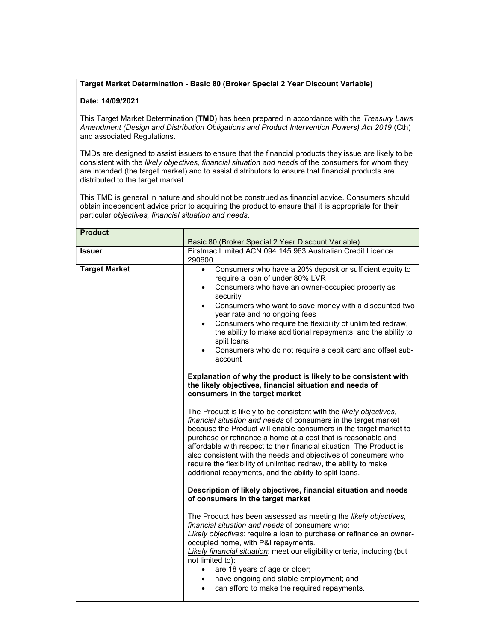## Target Market Determination - Basic 80 (Broker Special 2 Year Discount Variable)

## Date: 14/09/2021

This Target Market Determination (TMD) has been prepared in accordance with the Treasury Laws Amendment (Design and Distribution Obligations and Product Intervention Powers) Act 2019 (Cth) and associated Regulations.

TMDs are designed to assist issuers to ensure that the financial products they issue are likely to be consistent with the likely objectives, financial situation and needs of the consumers for whom they are intended (the target market) and to assist distributors to ensure that financial products are distributed to the target market.

This TMD is general in nature and should not be construed as financial advice. Consumers should obtain independent advice prior to acquiring the product to ensure that it is appropriate for their particular objectives, financial situation and needs.

| <b>Product</b>       |                                                                                                                                                                                                                                                                                                                                                                                                                                                                                                                                                                                                                                                                                                                                                                                                                                                                                                                                                                                                                                                                                                                                                                                                                                                                                                                                                                                                                                                                                                                                                                                                                                                                                                                                                                        |
|----------------------|------------------------------------------------------------------------------------------------------------------------------------------------------------------------------------------------------------------------------------------------------------------------------------------------------------------------------------------------------------------------------------------------------------------------------------------------------------------------------------------------------------------------------------------------------------------------------------------------------------------------------------------------------------------------------------------------------------------------------------------------------------------------------------------------------------------------------------------------------------------------------------------------------------------------------------------------------------------------------------------------------------------------------------------------------------------------------------------------------------------------------------------------------------------------------------------------------------------------------------------------------------------------------------------------------------------------------------------------------------------------------------------------------------------------------------------------------------------------------------------------------------------------------------------------------------------------------------------------------------------------------------------------------------------------------------------------------------------------------------------------------------------------|
|                      | Basic 80 (Broker Special 2 Year Discount Variable)                                                                                                                                                                                                                                                                                                                                                                                                                                                                                                                                                                                                                                                                                                                                                                                                                                                                                                                                                                                                                                                                                                                                                                                                                                                                                                                                                                                                                                                                                                                                                                                                                                                                                                                     |
| <b>Issuer</b>        | Firstmac Limited ACN 094 145 963 Australian Credit Licence<br>290600                                                                                                                                                                                                                                                                                                                                                                                                                                                                                                                                                                                                                                                                                                                                                                                                                                                                                                                                                                                                                                                                                                                                                                                                                                                                                                                                                                                                                                                                                                                                                                                                                                                                                                   |
| <b>Target Market</b> | Consumers who have a 20% deposit or sufficient equity to<br>$\bullet$<br>require a loan of under 80% LVR<br>Consumers who have an owner-occupied property as<br>$\bullet$<br>security<br>Consumers who want to save money with a discounted two<br>$\bullet$<br>year rate and no ongoing fees<br>Consumers who require the flexibility of unlimited redraw,<br>$\bullet$<br>the ability to make additional repayments, and the ability to<br>split loans<br>Consumers who do not require a debit card and offset sub-<br>$\bullet$<br>account<br>Explanation of why the product is likely to be consistent with<br>the likely objectives, financial situation and needs of<br>consumers in the target market<br>The Product is likely to be consistent with the likely objectives,<br>financial situation and needs of consumers in the target market<br>because the Product will enable consumers in the target market to<br>purchase or refinance a home at a cost that is reasonable and<br>affordable with respect to their financial situation. The Product is<br>also consistent with the needs and objectives of consumers who<br>require the flexibility of unlimited redraw, the ability to make<br>additional repayments, and the ability to split loans.<br>Description of likely objectives, financial situation and needs<br>of consumers in the target market<br>The Product has been assessed as meeting the likely objectives,<br>financial situation and needs of consumers who:<br>Likely objectives: require a loan to purchase or refinance an owner-<br>occupied home, with P&I repayments.<br><b>Likely financial situation:</b> meet our eligibility criteria, including (but<br>not limited to):<br>are 18 years of age or older;<br>$\bullet$ |
|                      | have ongoing and stable employment; and<br>$\bullet$<br>can afford to make the required repayments.<br>$\bullet$                                                                                                                                                                                                                                                                                                                                                                                                                                                                                                                                                                                                                                                                                                                                                                                                                                                                                                                                                                                                                                                                                                                                                                                                                                                                                                                                                                                                                                                                                                                                                                                                                                                       |
|                      |                                                                                                                                                                                                                                                                                                                                                                                                                                                                                                                                                                                                                                                                                                                                                                                                                                                                                                                                                                                                                                                                                                                                                                                                                                                                                                                                                                                                                                                                                                                                                                                                                                                                                                                                                                        |